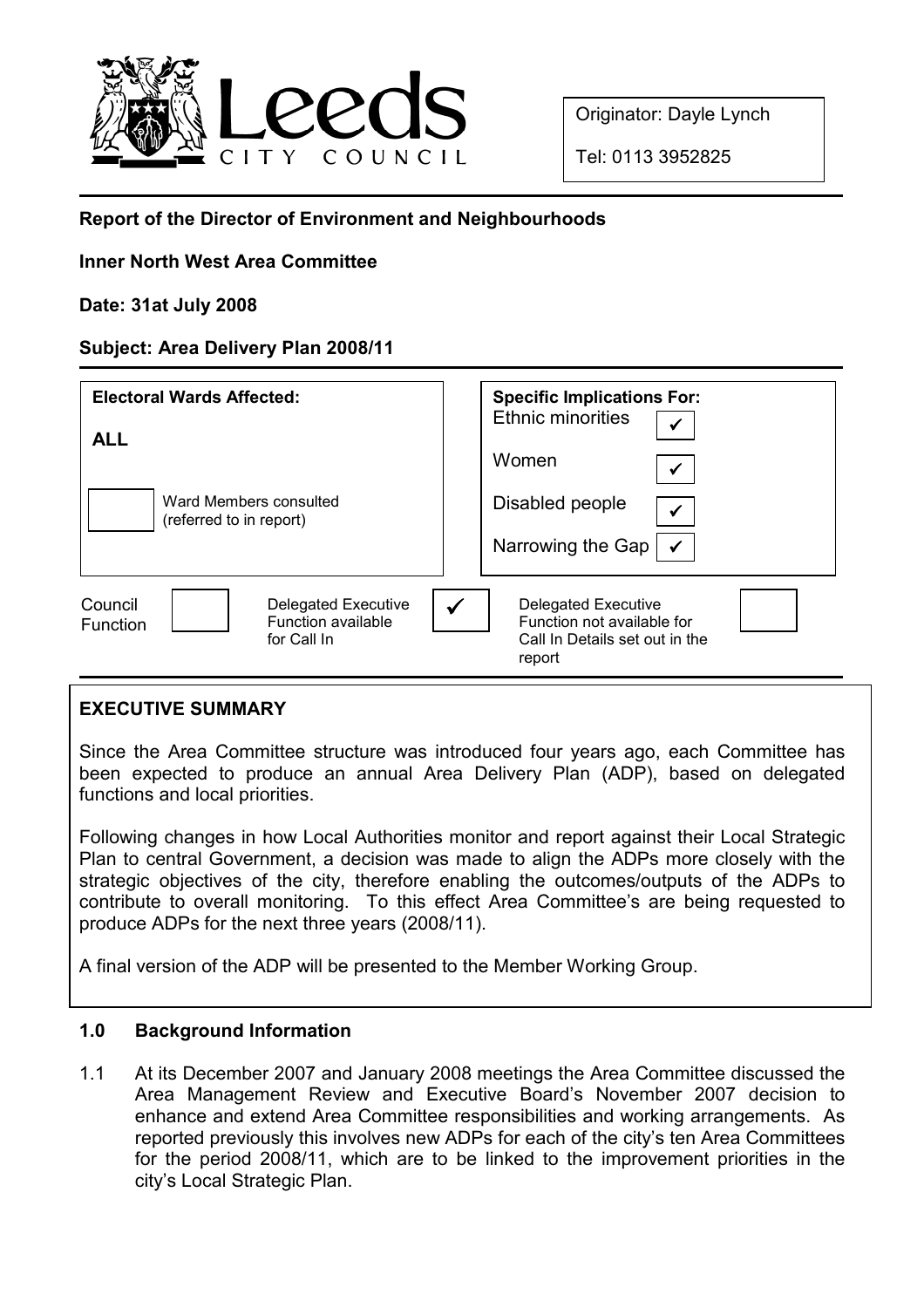

Originator: Dayle Lynch

Tel: 0113 3952825

# Report of the Director of Environment and Neighbourhoods

## Inner North West Area Committee

### Date: 31at July 2008

### Subject: Area Delivery Plan 2008/11

| <b>Electoral Wards Affected:</b><br><b>ALL</b><br>Ward Members consulted<br>(referred to in report) | <b>Specific Implications For:</b><br><b>Ethnic minorities</b><br>$\checkmark$<br>Women<br>$\checkmark$<br>Disabled people<br>$\checkmark$<br>Narrowing the Gap<br>$\checkmark$ |
|-----------------------------------------------------------------------------------------------------|--------------------------------------------------------------------------------------------------------------------------------------------------------------------------------|
| Council<br>Delegated Executive<br>Function available<br><b>Function</b><br>for Call In              | <b>Delegated Executive</b><br>Function not available for<br>Call In Details set out in the<br>report                                                                           |

# EXECUTIVE SUMMARY

Since the Area Committee structure was introduced four years ago, each Committee has been expected to produce an annual Area Delivery Plan (ADP), based on delegated functions and local priorities.

Following changes in how Local Authorities monitor and report against their Local Strategic Plan to central Government, a decision was made to align the ADPs more closely with the strategic objectives of the city, therefore enabling the outcomes/outputs of the ADPs to contribute to overall monitoring. To this effect Area Committee's are being requested to produce ADPs for the next three years (2008/11).

A final version of the ADP will be presented to the Member Working Group.

#### 1.0 Background Information

1.1 At its December 2007 and January 2008 meetings the Area Committee discussed the Area Management Review and Executive Board's November 2007 decision to enhance and extend Area Committee responsibilities and working arrangements. As reported previously this involves new ADPs for each of the city's ten Area Committees for the period 2008/11, which are to be linked to the improvement priorities in the city's Local Strategic Plan.